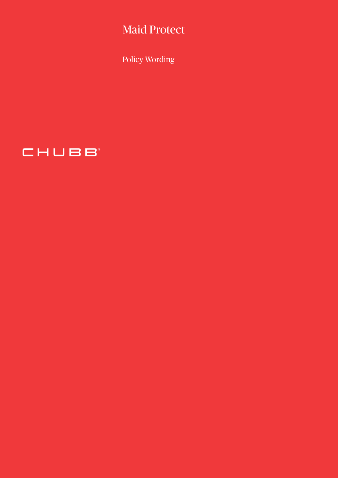# Maid Protect

Policy Wording

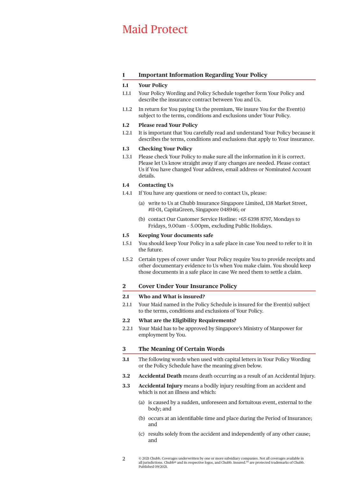## Maid Protect

#### **1 Important Information Regarding Your Policy**

#### **1.1 Your Policy**

- 1.1.1 Your Policy Wording and Policy Schedule together form Your Policy and describe the insurance contract between You and Us.
- 1.1.2 In return for You paying Us the premium, We insure You for the Event(s) subject to the terms, conditions and exclusions under Your Policy.

#### **1.2 Please read Your Policy**

1.2.1 It is important that You carefully read and understand Your Policy because it describes the terms, conditions and exclusions that apply to Your insurance.

#### **1.3 Checking Your Policy**

1.3.1 Please check Your Policy to make sure all the information in it is correct. Please let Us know straight away if any changes are needed. Please contact Us if You have changed Your address, email address or Nominated Account details.

#### **1.4 Contacting Us**

- 1.4.1 If You have any questions or need to contact Us, please:
	- (a) write to Us at Chubb Insurance Singapore Limited, 138 Market Street, #11-01, CapitaGreen, Singapore 048946; or
	- (b) contact Our Customer Service Hotline: +65 6398 8797, Mondays to Fridays, 9.00am – 5.00pm, excluding Public Holidays.

#### **1.5 Keeping Your documents safe**

- 1.5.1 You should keep Your Policy in a safe place in case You need to refer to it in the future.
- 1.5.2 Certain types of cover under Your Policy require You to provide receipts and other documentary evidence to Us when You make claim. You should keep those documents in a safe place in case We need them to settle a claim.

## **2 Cover Under Your Insurance Policy**

#### **2.1 Who and What is insured?**

2.1.1 Your Maid named in the Policy Schedule is insured for the Event(s) subject to the terms, conditions and exclusions of Your Policy.

#### **2.2 What are the Eligibility Requirements?**

2.2.1 Your Maid has to be approved by Singapore's Ministry of Manpower for employment by You.

#### **3 The Meaning Of Certain Words**

- **3.1** The following words when used with capital letters in Your Policy Wording or the Policy Schedule have the meaning given below.
- **3.2 Accidental Death** means death occurring as a result of an Accidental Injury.
- **3.3 Accidental Injury** means a bodily injury resulting from an accident and which is not an illness and which:
	- (a) is caused by a sudden, unforeseen and fortuitous event, external to the body; and
	- (b) occurs at an identifiable time and place during the Period of Insurance; and
	- (c) results solely from the accident and independently of any other cause; and
- 2 © 2021 Chubb. Coverages underwritten by one or more subsidiary companies. Not all coverages available in all jurisdictions. Chubb® and its respective logos, and Chubb. Insured.<sup>™</sup> are protected trademarks of Chubb. Published 09/2021.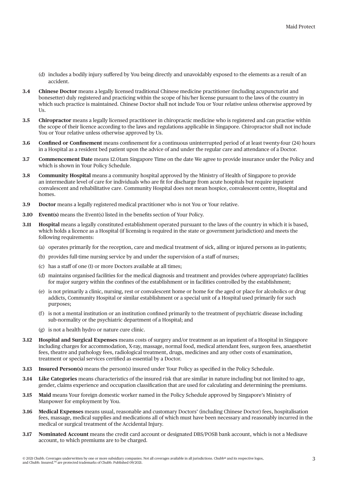- (d) includes a bodily injury suffered by You being directly and unavoidably exposed to the elements as a result of an accident.
- **3.4 Chinese Doctor** means a legally licensed traditional Chinese medicine practitioner (including acupuncturist and bonesetter) duly registered and practicing within the scope of his/her license pursuant to the laws of the country in which such practice is maintained. Chinese Doctor shall not include You or Your relative unless otherwise approved by Us.
- **3.5 Chiropractor** means a legally licensed practitioner in chiropractic medicine who is registered and can practise within the scope of their licence according to the laws and regulations applicable in Singapore. Chiropractor shall not include You or Your relative unless otherwise approved by Us.
- **3.6 Confined or Confinement** means confinement for a continuous uninterrupted period of at least twenty-four (24) hours in a Hospital as a resident bed patient upon the advice of and under the regular care and attendance of a Doctor.
- **3.7 Commencement Date** means 12.01am Singapore Time on the date We agree to provide insurance under the Policy and which is shown in Your Policy Schedule.
- **3.8 Community Hospital** means a community hospital approved by the Ministry of Health of Singapore to provide an intermediate level of care for individuals who are fit for discharge from acute hospitals but require inpatient convalescent and rehabilitative care. Community Hospital does not mean hospice, convalescent centre, Hospital and homes.
- **3.9 Doctor** means a legally registered medical practitioner who is not You or Your relative.
- **3.10 Event(s)** means the Event(s) listed in the benefits section of Your Policy.
- **3.11 Hospital** means a legally constituted establishment operated pursuant to the laws of the country in which it is based, which holds a licence as a Hospital (if licensing is required in the state or government jurisdiction) and meets the following requirements:
	- (a) operates primarily for the reception, care and medical treatment of sick, ailing or injured persons as in-patients;
	- (b) provides full-time nursing service by and under the supervision of a staff of nurses;
	- (c) has a staff of one (1) or more Doctors available at all times;
	- (d) maintains organised facilities for the medical diagnosis and treatment and provides (where appropriate) facilities for major surgery within the confines of the establishment or in facilities controlled by the establishment;
	- (e) is not primarily a clinic, nursing, rest or convalescent home or home for the aged or place for alcoholics or drug addicts, Community Hospital or similar establishment or a special unit of a Hospital used primarily for such purposes;
	- (f ) is not a mental institution or an institution confined primarily to the treatment of psychiatric disease including sub-normality or the psychiatric department of a Hospital; and
	- (g) is not a health hydro or nature cure clinic.
- **3.12 Hospital and Surgical Expenses** means costs of surgery and/or treatment as an inpatient of a Hospital in Singapore including charges for accommodation, X-ray, massage, normal food, medical attendant fees, surgeon fees, anaesthetist fees, theatre and pathology fees, radiological treatment, drugs, medicines and any other costs of examination, treatment or special services certified as essential by a Doctor.
- **3.13 Insured Person(s)** means the person(s) insured under Your Policy as specified in the Policy Schedule.
- **3.14 Like Categories** means characteristics of the insured risk that are similar in nature including but not limited to age, gender, claims experience and occupation classification that are used for calculating and determining the premiums.
- **3.15 Maid** means Your foreign domestic worker named in the Policy Schedule approved by Singapore's Ministry of Manpower for employment by You.
- **3.16 Medical Expenses** means usual, reasonable and customary Doctors' (including Chinese Doctor) fees, hospitalisation fees, massage, medical supplies and medications all of which must have been necessary and reasonably incurred in the medical or surgical treatment of the Accidental Injury.
- **3.17 Nominated Account** means the credit card account or designated DBS/POSB bank account, which is not a Medisave account, to which premiums are to be charged.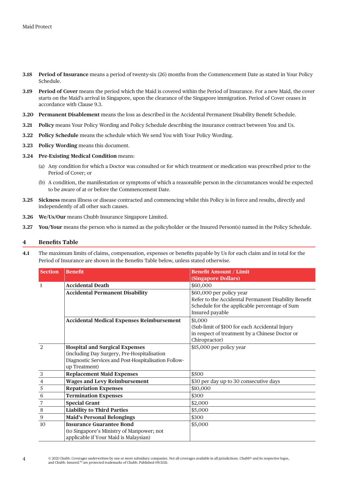- **3.18 Period of Insurance** means a period of twenty-six (26) months from the Commencement Date as stated in Your Policy Schedule.
- **3.19 Period of Cover** means the period which the Maid is covered within the Period of Insurance. For a new Maid, the cover starts on the Maid's arrival in Singapore, upon the clearance of the Singapore immigration. Period of Cover ceases in accordance with Clause 9.3.
- **3.20 Permanent Disablement** means the loss as described in the Accidental Permanent Disability Benefit Schedule.
- **3.21 Policy** means Your Policy Wording and Policy Schedule describing the insurance contract between You and Us.
- **3.22 Policy Schedule** means the schedule which We send You with Your Policy Wording.
- **3.23 Policy Wording** means this document.
- **3.24 Pre-Existing Medical Condition** means:
	- (a) Any condition for which a Doctor was consulted or for which treatment or medication was prescribed prior to the Period of Cover; or
	- (b) A condition, the manifestation or symptoms of which a reasonable person in the circumstances would be expected to be aware of at or before the Commencement Date.
- **3.25 Sickness** means illness or disease contracted and commencing whilst this Policy is in force and results, directly and independently of all other such causes.
- **3.26 We/Us/Our** means Chubb Insurance Singapore Limited.
- **3.27 You/Your** means the person who is named as the policyholder or the Insured Person(s) named in the Policy Schedule.

## **4 Benefits Table**

**4.1** The maximum limits of claims, compensation, expenses or benefits payable by Us for each claim and in total for the Period of Insurance are shown in the Benefits Table below, unless stated otherwise.

| <b>Section</b>   | <b>Benefit</b>                                                                                                                                                | <b>Benefit Amount / Limit</b><br><b>(Singapore Dollars)</b>                                                                                          |
|------------------|---------------------------------------------------------------------------------------------------------------------------------------------------------------|------------------------------------------------------------------------------------------------------------------------------------------------------|
|                  | <b>Accidental Death</b>                                                                                                                                       | \$60,000                                                                                                                                             |
|                  | <b>Accidental Permanent Disability</b>                                                                                                                        | \$60,000 per policy year<br>Refer to the Accidental Permanent Disability Benefit<br>Schedule for the applicable percentage of Sum<br>Insured payable |
|                  | <b>Accidental Medical Expenses Reimbursement</b>                                                                                                              | \$1,000<br>(Sub-limit of \$100 for each Accidental Injury<br>in respect of treatment by a Chinese Doctor or<br>Chiropractor)                         |
| $\mathfrak{D}$   | <b>Hospital and Surgical Expenses</b><br>(including Day Surgery, Pre-Hospitalisation<br>Diagnostic Services and Post-Hospitalisation Follow-<br>up Treatment) | \$15,000 per policy year                                                                                                                             |
| $\overline{3}$   | <b>Replacement Maid Expenses</b>                                                                                                                              | \$500                                                                                                                                                |
| $\bf 4$          | <b>Wages and Levy Reimbursement</b>                                                                                                                           | \$30 per day up to 30 consecutive days                                                                                                               |
| $\overline{5}$   | <b>Repatriation Expenses</b>                                                                                                                                  | \$10,000                                                                                                                                             |
| 6                | <b>Termination Expenses</b>                                                                                                                                   | \$300                                                                                                                                                |
| $\overline{7}$   | <b>Special Grant</b>                                                                                                                                          | \$2,000                                                                                                                                              |
| 8                | <b>Liability to Third Parties</b>                                                                                                                             | \$5,000                                                                                                                                              |
| $\overline{9}$   | <b>Maid's Personal Belongings</b>                                                                                                                             | \$300                                                                                                                                                |
| 10 <sup>10</sup> | <b>Insurance Guarantee Bond</b><br>(to Singapore's Ministry of Manpower; not<br>applicable if Your Maid is Malaysian)                                         | \$5,000                                                                                                                                              |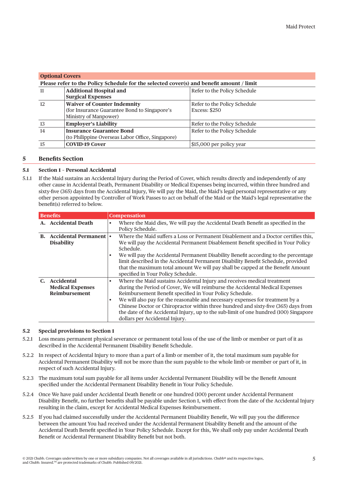| <b>Optional Covers</b>                                                                   |                                                                                                             |                                                      |  |  |
|------------------------------------------------------------------------------------------|-------------------------------------------------------------------------------------------------------------|------------------------------------------------------|--|--|
| Please refer to the Policy Schedule for the selected cover(s) and benefit amount / limit |                                                                                                             |                                                      |  |  |
| 11                                                                                       | <b>Additional Hospital and</b><br><b>Surgical Expenses</b>                                                  | Refer to the Policy Schedule                         |  |  |
| 12                                                                                       | <b>Waiver of Counter Indemnity</b><br>(for Insurance Guarantee Bond to Singapore's<br>Ministry of Manpower) | Refer to the Policy Schedule<br><b>Excess: \$250</b> |  |  |
| 13                                                                                       | <b>Employer's Liability</b>                                                                                 | Refer to the Policy Schedule                         |  |  |
| 14                                                                                       | <b>Insurance Guarantee Bond</b><br>(to Philippine Overseas Labor Office, Singapore)                         | Refer to the Policy Schedule                         |  |  |
| 15                                                                                       | <b>COVID-19 Cover</b>                                                                                       | \$15,000 per policy year                             |  |  |

## **5 Benefits Section**

## **5.1 Section 1 – Personal Accidental**

5.1.1 If the Maid sustains an Accidental Injury during the Period of Cover, which results directly and independently of any other cause in Accidental Death, Permanent Disability or Medical Expenses being incurred, within three hundred and sixty-five (365) days from the Accidental Injury, We will pay the Maid, the Maid's legal personal representative or any other person appointed by Controller of Work Passes to act on behalf of the Maid or the Maid's legal representative the benefit(s) referred to below.

| <b>Benefits</b> |                                                           | <b>Compensation</b>                                                                                                                                                                                                                                                                                                                                                                                                                                                                                                                               |  |  |
|-----------------|-----------------------------------------------------------|---------------------------------------------------------------------------------------------------------------------------------------------------------------------------------------------------------------------------------------------------------------------------------------------------------------------------------------------------------------------------------------------------------------------------------------------------------------------------------------------------------------------------------------------------|--|--|
|                 | <b>Accidental Death</b>                                   | Where the Maid dies, We will pay the Accidental Death Benefit as specified in the<br>$\bullet$<br>Policy Schedule.                                                                                                                                                                                                                                                                                                                                                                                                                                |  |  |
|                 | <b>B.</b> Accidental Permanent<br><b>Disability</b>       | Where the Maid suffers a Loss or Permanent Disablement and a Doctor certifies this,<br>We will pay the Accidental Permanent Disablement Benefit specified in Your Policy<br>Schedule.<br>We will pay the Accidental Permanent Disability Benefit according to the percentage<br>$\bullet$<br>limit described in the Accidental Permanent Disability Benefit Schedule, provided<br>that the maximum total amount We will pay shall be capped at the Benefit Amount<br>specified in Your Policy Schedule.                                           |  |  |
|                 | C. Accidental<br><b>Medical Expenses</b><br>Reimbursement | Where the Maid sustains Accidental Injury and receives medical treatment<br>$\bullet$<br>during the Period of Cover, We will reimburse the Accidental Medical Expenses<br>Reimbursement Benefit specified in Your Policy Schedule.<br>We will also pay for the reasonable and necessary expenses for treatment by a<br>$\bullet$<br>Chinese Doctor or Chiropractor within three hundred and sixty-five (365) days from<br>the date of the Accidental Injury, up to the sub-limit of one hundred (100) Singapore<br>dollars per Accidental Injury. |  |  |

## **5.2 Special provisions to Section 1**

- 5.2.1 Loss means permanent physical severance or permanent total loss of the use of the limb or member or part of it as described in the Accidental Permanent Disability Benefit Schedule.
- 5.2.2 In respect of Accidental Injury to more than a part of a limb or member of it, the total maximum sum payable for Accidental Permanent Disability will not be more than the sum payable to the whole limb or member or part of it, in respect of such Accidental Injury.
- 5.2.3 The maximum total sum payable for all items under Accidental Permanent Disability will be the Benefit Amount specified under the Accidental Permanent Disability Benefit in Your Policy Schedule.
- 5.2.4 Once We have paid under Accidental Death Benefit or one hundred (100) percent under Accidental Permanent Disability Benefit, no further benefits shall be payable under Section 1, with effect from the date of the Accidental Injury resulting in the claim, except for Accidental Medical Expenses Reimbursement.
- 5.2.5 If you had claimed successfully under the Accidental Permanent Disability Benefit, We will pay you the difference between the amount You had received under the Accidental Permanent Disability Benefit and the amount of the Accidental Death Benefit specified in Your Policy Schedule. Except for this, We shall only pay under Accidental Death Benefit or Accidental Permanent Disability Benefit but not both.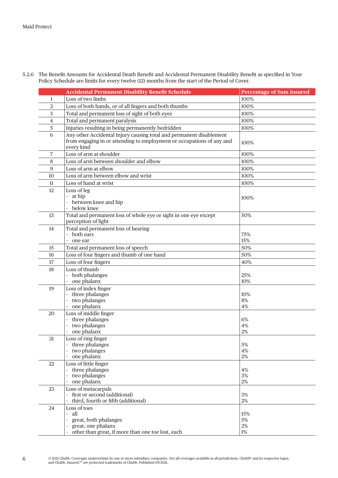|                | <b>Accidental Permanent Disability Benefit Schedule</b>                                 | <b>Percentage of Sum Insured</b> |
|----------------|-----------------------------------------------------------------------------------------|----------------------------------|
| $\mathbf{1}$   | Loss of two limbs                                                                       | 100%                             |
| $\overline{2}$ | Loss of both hands, or of all fingers and both thumbs                                   | 100%                             |
| 3              | Total and permanent loss of sight of both eyes                                          | 100%                             |
| 4              | Total and permanent paralysis                                                           | 100%                             |
| 5              | Injuries resulting in being permanently bedridden                                       | 100%                             |
| 6              | Any other Accidental Injury causing total and permanent disablement                     |                                  |
|                | from engaging in or attending to employment or occupations of any and<br>every kind     | 100%                             |
| 7              | Loss of arm at shoulder                                                                 | 100%                             |
| 8              | Loss of arm between shoulder and elbow                                                  | 100%                             |
| 9              | Loss of arm at elbow                                                                    | 100%                             |
| 10             | Loss of arm between elbow and wrist                                                     | 100%                             |
| 11             | Loss of hand at wrist                                                                   | 100%                             |
| 12             | Loss of leg                                                                             |                                  |
|                | at hip                                                                                  | 100%                             |
|                | between knee and hip                                                                    |                                  |
|                | below knee                                                                              |                                  |
| 13             | Total and permanent loss of whole eye or sight in one eye except<br>perception of light | 50%                              |
| 14             | Total and permanent loss of hearing                                                     |                                  |
|                | both ears<br>$\equiv$                                                                   | 75%                              |
|                | one ear                                                                                 | 15%                              |
| 15             | Total and permanent loss of speech                                                      | 50%                              |
| 16             | Loss of four fingers and thumb of one hand                                              | 50%                              |
| 17             | Loss of four fingers                                                                    | 40%                              |
| 18             | Loss of thumb<br>both phalanges<br>$\overline{\phantom{a}}$                             | 25%                              |
|                | one phalanx                                                                             | 10%                              |
| 19             | Loss of index finger                                                                    |                                  |
|                | three phalanges                                                                         | 10%                              |
|                | two phalanges                                                                           | 8%                               |
|                | one phalanx                                                                             | 4%                               |
| 20             | Loss of middle finger                                                                   |                                  |
|                | three phalanges<br>two phalanges                                                        | 6%<br>4%                         |
|                | one phalanx                                                                             | 2%                               |
| 21             | Loss of ring finger                                                                     |                                  |
|                | three phalanges                                                                         | 5%                               |
|                | two phalanges                                                                           | 4%                               |
|                | one phalanx                                                                             | 2%                               |
| 22             | Loss of little finger                                                                   |                                  |
|                | three phalanges<br>two phalanges                                                        | 4%<br>3%                         |
|                | one phalanx                                                                             | $2\%$                            |
| 23             | Loss of metacarpals                                                                     |                                  |
|                | first or second (additional)<br>$\bar{\phantom{a}}$                                     | 3%                               |
|                | third, fourth or fifth (additional)                                                     | $2\%$                            |
| 24             | Loss of toes                                                                            |                                  |
|                | all<br>$\overline{\phantom{a}}$                                                         | 15%                              |
|                | great, both phalanges                                                                   | 5%                               |
|                | great, one phalanx<br>other than great, if more than one toe lost, each                 | $2\%$<br>$1\%$                   |
|                |                                                                                         |                                  |

5.2.6 The Benefit Amounts for Accidental Death Benefit and Accidental Permanent Disability Benefit as specified in Your Policy Schedule are limits for every twelve (12) months from the start of the Period of Cover.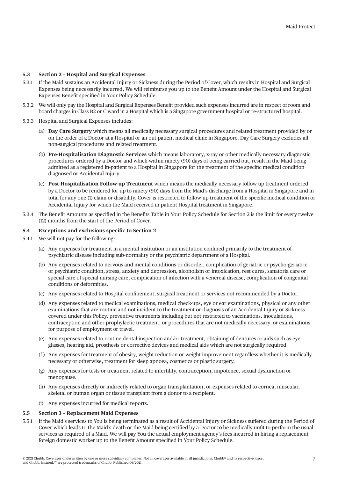## **5.3 Section 2 – Hospital and Surgical Expenses**

- 5.3.1 If the Maid sustains an Accidental Injury or Sickness during the Period of Cover, which results in Hospital and Surgical Expenses being necessarily incurred, We will reimburse you up to the Benefit Amount under the Hospital and Surgical Expenses Benefit specified in Your Policy Schedule.
- 5.3.2 We will only pay the Hospital and Surgical Expenses Benefit provided such expenses incurred are in respect of room and board charges in Class B2 or C ward in a Hospital which is a Singapore government hospital or re-structured hospital.
- 5.3.3 Hospital and Surgical Expenses includes:
	- (a) **Day Care Surgery** which means all medically necessary surgical procedures and related treatment provided by or on the order of a Doctor at a Hospital or an out-patient medical clinic in Singapore. Day Care Surgery excludes all non-surgical procedures and related treatment.
	- (b) **Pre-Hospitalisation Diagnostic Services** which means laboratory, x-ray or other medically necessary diagnostic procedures ordered by a Doctor and which within ninety (90) days of being carried out, result in the Maid being admitted as a registered in-patient to a Hospital in Singapore for the treatment of the specific medical condition diagnosed or Accidental Injury.
	- (c) **Post-Hospitalisation Follow-up Treatment** which means the medically necessary follow-up treatment ordered by a Doctor to be rendered for up to ninety (90) days from the Maid's discharge from a Hospital in Singapore and in total for any one (1) claim or disability. Cover is restricted to follow-up treatment of the specific medical condition or Accidental Injury for which the Maid received in-patient Hospital treatment in Singapore.
- 5.3.4 The Benefit Amounts as specified in the Benefits Table in Your Policy Schedule for Section 2 is the limit for every twelve (12) months from the start of the Period of Cover.

#### **5.4 Exceptions and exclusions specific to Section 2**

- 5.4.1 We will not pay for the following:
	- (a) Any expenses for treatment in a mental institution or an institution confined primarily to the treatment of psychiatric disease including sub-normality or the psychiatric department of a Hospital.
	- (b) Any expenses related to nervous and mental conditions or disorder, complication of geriatric or psycho-geriatric or psychiatric condition, stress, anxiety and depression, alcoholism or intoxication, rest cures, sanatoria care or special care of special nursing care, complication of infection with a venereal disease, complication of congenital conditions or deformities.
	- (c) Any expenses related to Hospital confinement, surgical treatment or services not recommended by a Doctor.
	- (d) Any expenses related to medical examinations, medical check-ups, eye or ear examinations, physical or any other examinations that are routine and not incident to the treatment or diagnosis of an Accidental Injury or Sickness covered under this Policy, preventive treatments including but not restricted to vaccinations, inoculations, contraception and other prophylactic treatment, or procedures that are not medically necessary, or examinations for purpose of employment or travel.
	- (e) Any expenses related to routine dental inspection and/or treatment, obtaining of dentures or aids such as eye glasses, hearing aid, prosthesis or corrective devices and medical aids which are not surgically required.
	- (f ) Any expenses for treatment of obesity, weight reduction or weight improvement regardless whether it is medically necessary or otherwise, treatment for sleep apnoea, cosmetics or plastic surgery.
	- (g) Any expenses for tests or treatment related to infertility, contraception, impotence, sexual dysfunction or menopause.
	- (h) Any expenses directly or indirectly related to organ transplantation, or expenses related to cornea, muscular, skeletal or human organ or tissue transplant from a donor to a recipient.
	- (i) Any expenses incurred for medical reports.

## **5.5 Section 3 – Replacement Maid Expenses**

5.5.1 If the Maid's services to You is being terminated as a result of Accidental Injury or Sickness suffered during the Period of Cover which leads to the Maid's death or the Maid being certified by a Doctor to be medically unfit to perform the usual services as required of a Maid, We will pay You the actual employment agency's fees incurred in hiring a replacement foreign domestic worker up to the Benefit Amount specified in Your Policy Schedule.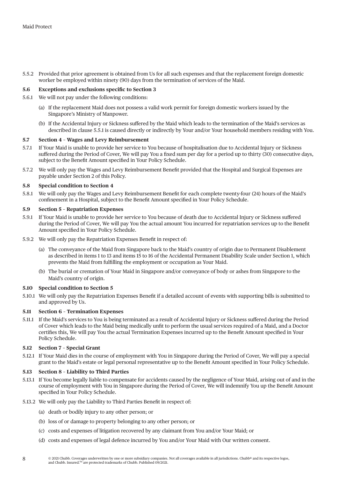5.5.2 Provided that prior agreement is obtained from Us for all such expenses and that the replacement foreign domestic worker be employed within ninety (90) days from the termination of services of the Maid.

## **5.6 Exceptions and exclusions specific to Section 3**

- 5.6.1 We will not pay under the following conditions:
	- (a) If the replacement Maid does not possess a valid work permit for foreign domestic workers issued by the Singapore's Ministry of Manpower.
	- (b) If the Accidental Injury or Sickness suffered by the Maid which leads to the termination of the Maid's services as described in clause 5.5.1 is caused directly or indirectly by Your and/or Your household members residing with You.

## **5.7 Section 4 – Wages and Levy Reimbursement**

- 5.7.1 If Your Maid is unable to provide her service to You because of hospitalisation due to Accidental Injury or Sickness suffered during the Period of Cover, We will pay You a fixed sum per day for a period up to thirty (30) consecutive days, subject to the Benefit Amount specified in Your Policy Schedule.
- 5.7.2 We will only pay the Wages and Levy Reimbursement Benefit provided that the Hospital and Surgical Expenses are payable under Section 2 of this Policy.

## **5.8 Special condition to Section 4**

5.8.1 We will only pay the Wages and Levy Reimbursement Benefit for each complete twenty-four (24) hours of the Maid's confinement in a Hospital, subject to the Benefit Amount specified in Your Policy Schedule.

#### **5.9 Section 5 – Repatriation Expenses**

- 5.9.1 If Your Maid is unable to provide her service to You because of death due to Accidental Injury or Sickness suffered during the Period of Cover, We will pay You the actual amount You incurred for repatriation services up to the Benefit Amount specified in Your Policy Schedule.
- 5.9.2 We will only pay the Repatriation Expenses Benefit in respect of:
	- (a) The conveyance of the Maid from Singapore back to the Maid's country of origin due to Permanent Disablement as described in items 1 to 13 and items 15 to 16 of the Accidental Permanent Disability Scale under Section 1, which prevents the Maid from fulfilling the employment or occupation as Your Maid.
	- (b) The burial or cremation of Your Maid in Singapore and/or conveyance of body or ashes from Singapore to the Maid's country of origin.

#### **5.10 Special condition to Section 5**

5.10.1 We will only pay the Repatriation Expenses Benefit if a detailed account of events with supporting bills is submitted to and approved by Us.

#### **5.11 Section 6 – Termination Expenses**

5.11.1 If the Maid's services to You is being terminated as a result of Accidental Injury or Sickness suffered during the Period of Cover which leads to the Maid being medically unfit to perform the usual services required of a Maid, and a Doctor certifies this, We will pay You the actual Termination Expenses incurred up to the Benefit Amount specified in Your Policy Schedule.

#### **5.12 Section 7 – Special Grant**

5.12.1 If Your Maid dies in the course of employment with You in Singapore during the Period of Cover, We will pay a special grant to the Maid's estate or legal personal representative up to the Benefit Amount specified in Your Policy Schedule.

## **5.13 Section 8 – Liability to Third Parties**

- 5.13.1 If You become legally liable to compensate for accidents caused by the negligence of Your Maid, arising out of and in the course of employment with You in Singapore during the Period of Cover, We will indemnify You up the Benefit Amount specified in Your Policy Schedule.
- 5.13.2 We will only pay the Liability to Third Parties Benefit in respect of:
	- (a) death or bodily injury to any other person; or
	- (b) loss of or damage to property belonging to any other person; or
	- (c) costs and expenses of litigation recovered by any claimant from You and/or Your Maid; or
	- (d) costs and expenses of legal defence incurred by You and/or Your Maid with Our written consent.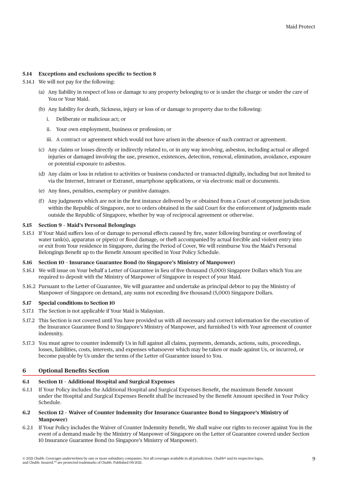## **5.14 Exceptions and exclusions specific to Section 8**

- 5.14.1 We will not pay for the following:
	- (a) Any liability in respect of loss or damage to any property belonging to or is under the charge or under the care of You or Your Maid.
	- (b) Any liability for death, Sickness, injury or loss of or damage to property due to the following:
		- i. Deliberate or malicious act; or
		- ii. Your own employment, business or profession; or
		- iii. A contract or agreement which would not have arisen in the absence of such contract or agreement.
	- (c) Any claims or losses directly or indirectly related to, or in any way involving, asbestos, including actual or alleged injuries or damaged involving the use, presence, existences, detection, removal, elimination, avoidance, exposure or potential exposure to asbestos.
	- (d) Any claim or loss in relation to activities or business conducted or transacted digitally, including but not limited to via the Internet, Intranet or Extranet, smartphone applications, or via electronic mail or documents.
	- (e) Any fines, penalties, exemplary or punitive damages.
	- (f ) Any judgments which are not in the first instance delivered by or obtained from a Court of competent jurisdiction within the Republic of Singapore, nor to orders obtained in the said Court for the enforcement of judgments made outside the Republic of Singapore, whether by way of reciprocal agreement or otherwise.

## **5.15 Section 9 – Maid's Personal Belongings**

5.15.1 If Your Maid suffers loss of or damage to personal effects caused by fire, water following bursting or overflowing of water tank(s), apparatus or pipe(s) or flood damage, or theft accompanied by actual forcible and violent entry into or exit from Your residence in Singapore, during the Period of Cover, We will reimburse You the Maid's Personal Belongings Benefit up to the Benefit Amount specified in Your Policy Schedule.

#### **5.16 Section 10 – Insurance Guarantee Bond (to Singapore's Ministry of Manpower)**

- 5.16.1 We will issue on Your behalf a Letter of Guarantee in lieu of five thousand (5,000) Singapore Dollars which You are required to deposit with the Ministry of Manpower of Singapore in respect of your Maid.
- 5.16.2 Pursuant to the Letter of Guarantee, We will guarantee and undertake as principal debtor to pay the Ministry of Manpower of Singapore on demand, any sums not exceeding five thousand (5,000) Singapore Dollars.

#### **5.17 Special conditions to Section 10**

- 5.17.1 The Section is not applicable if Your Maid is Malaysian.
- 5.17.2 This Section is not covered until You have provided us with all necessary and correct information for the execution of the Insurance Guarantee Bond to Singapore's Ministry of Manpower, and furnished Us with Your agreement of counter indemnity.
- 5.17.3 You must agree to counter indemnify Us in full against all claims, payments, demands, actions, suits, proceedings, losses, liabilities, costs, interests, and expenses whatsoever which may be taken or made against Us, or incurred, or become payable by Us under the terms of the Letter of Guarantee issued to You.

## **6 Optional Benefits Section**

#### **6.1 Section 11 – Additional Hospital and Surgical Expenses**

- 6.1.1 If Your Policy includes the Additional Hospital and Surgical Expenses Benefit, the maximum Benefit Amount under the Hospital and Surgical Expenses Benefit shall be increased by the Benefit Amount specified in Your Policy Schedule.
- **6.2 Section 12 Waiver of Counter Indemnity (for Insurance Guarantee Bond to Singapore's Ministry of Manpower)**
- 6.2.1 If Your Policy includes the Waiver of Counter Indemnity Benefit, We shall waive our rights to recover against You in the event of a demand made by the Ministry of Manpower of Singapore on the Letter of Guarantee covered under Section 10 Insurance Guarantee Bond (to Singapore's Ministry of Manpower).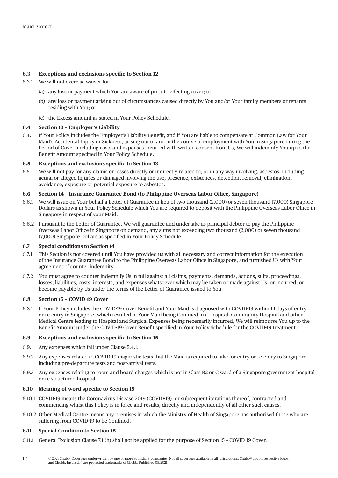## **6.3 Exceptions and exclusions specific to Section 12**

- 6.3.1 We will not exercise waiver for:
	- (a) any loss or payment which You are aware of prior to effecting cover; or
	- (b) any loss or payment arising out of circumstances caused directly by You and/or Your family members or tenants residing with You; or
	- (c) the Excess amount as stated in Your Policy Schedule.

## **6.4 Section 13 – Employer's Liability**

6.4.1 If Your Policy includes the Employer's Liability Benefit, and if You are liable to compensate at Common Law for Your Maid's Accidental Injury or Sickness, arising out of and in the course of employment with You in Singapore during the Period of Cover, including costs and expenses incurred with written consent from Us, We will indemnify You up to the Benefit Amount specified in Your Policy Schedule.

## **6.5 Exceptions and exclusions specific to Section 13**

6.5.1 We will not pay for any claims or losses directly or indirectly related to, or in any way involving, asbestos, including actual or alleged injuries or damaged involving the use, presence, existences, detection, removal, elimination, avoidance, exposure or potential exposure to asbestos.

## **6.6 Section 14 – Insurance Guarantee Bond (to Philippine Overseas Labor Office, Singapore)**

- 6.6.1 We will issue on Your behalf a Letter of Guarantee in lieu of two thousand (2,000) or seven thousand (7,000) Singapore Dollars as shown in Your Policy Schedule which You are required to deposit with the Philippine Overseas Labor Office in Singapore in respect of your Maid.
- 6.6.2 Pursuant to the Letter of Guarantee, We will guarantee and undertake as principal debtor to pay the Philippine Overseas Labor Office in Singapore on demand, any sums not exceeding two thousand (2,000) or seven thousand (7,000) Singapore Dollars as specified in Your Policy Schedule.

## **6.7 Special conditions to Section 14**

- 6.7.1 This Section is not covered until You have provided us with all necessary and correct information for the execution of the Insurance Guarantee Bond to the Philippine Overseas Labor Office in Singapore, and furnished Us with Your agreement of counter indemnity.
- 6.7.2 You must agree to counter indemnify Us in full against all claims, payments, demands, actions, suits, proceedings, losses, liabilities, costs, interests, and expenses whatsoever which may be taken or made against Us, or incurred, or become payable by Us under the terms of the Letter of Guarantee issued to You.

### **6.8 Section 15 – COVID-19 Cover**

6.8.1 If Your Policy includes the COVID-19 Cover Benefit and Your Maid is diagnosed with COVID-19 within 14 days of entry or re-entry to Singapore, which resulted in Your Maid being Confined in a Hospital, Community Hospital and other Medical Centre leading to Hospital and Surgical Expenses being necessarily incurred, We will reimburse You up to the Benefit Amount under the COVID-19 Cover Benefit specified in Your Policy Schedule for the COVID-19 treatment.

#### **6.9 Exceptions and exclusions specific to Section 15**

- 6.9.1 Any expenses which fall under Clause 5.4.1.
- 6.9.2 Any expenses related to COVID-19 diagnostic tests that the Maid is required to take for entry or re-entry to Singapore including pre-departure tests and post-arrival tests.
- 6.9.3 Any expenses relating to room and board charges which is not in Class B2 or C ward of a Singapore government hospital or re-structured hospital.

## **6.10 Meaning of word specific to Section 15**

- 6.10.1 COVID-19 means the Coronavirus Disease 2019 (COVID-19), or subsequent iterations thereof, contracted and commencing whilst this Policy is in force and results, directly and independently of all other such causes.
- 6.10.2 Other Medical Centre means any premises in which the Ministry of Health of Singapore has authorised those who are suffering from COVID-19 to be Confined.

#### **6.11 Special Condition to Section 15**

6.11.1 General Exclusion Clause 7.1 (h) shall not be applied for the purpose of Section 15 – COVID-19 Cover.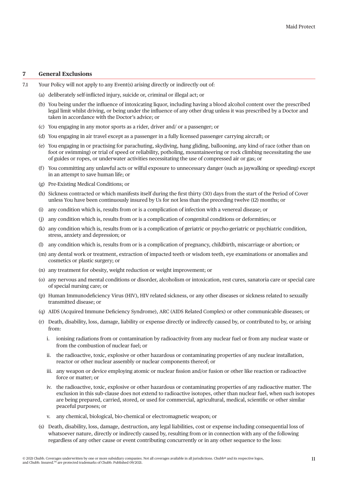## **7 General Exclusions**

- 7.1 Your Policy will not apply to any Event(s) arising directly or indirectly out of:
	- (a) deliberately self-inflicted injury, suicide or, criminal or illegal act; or
	- (b) You being under the influence of intoxicating liquor, including having a blood alcohol content over the prescribed legal limit whilst driving, or being under the influence of any other drug unless it was prescribed by a Doctor and taken in accordance with the Doctor's advice; or
	- (c) You engaging in any motor sports as a rider, driver and/ or a passenger; or
	- (d) You engaging in air travel except as a passenger in a fully licensed passenger carrying aircraft; or
	- (e) You engaging in or practising for parachuting, skydiving, hang gliding, ballooning, any kind of race (other than on foot or swimming) or trial of speed or reliability, potholing, mountaineering or rock climbing necessitating the use of guides or ropes, or underwater activities necessitating the use of compressed air or gas; or
	- (f ) You committing any unlawful acts or wilful exposure to unnecessary danger (such as jaywalking or speeding) except in an attempt to save human life; or
	- (g) Pre-Existing Medical Conditions; or
	- (h) Sickness contracted or which manifests itself during the first thirty (30) days from the start of the Period of Cover unless You have been continuously insured by Us for not less than the preceding twelve (12) months; or
	- (i) any condition which is, results from or is a complication of infection with a venereal disease; or
	- (j) any condition which is, results from or is a complication of congenital conditions or deformities; or
	- (k) any condition which is, results from or is a complication of geriatric or psycho-geriatric or psychiatric condition, stress, anxiety and depression; or
	- (l) any condition which is, results from or is a complication of pregnancy, childbirth, miscarriage or abortion; or
	- (m) any dental work or treatment, extraction of impacted teeth or wisdom teeth, eye examinations or anomalies and cosmetics or plastic surgery; or
	- (n) any treatment for obesity, weight reduction or weight improvement; or
	- (o) any nervous and mental conditions or disorder, alcoholism or intoxication, rest cures, sanatoria care or special care of special nursing care; or
	- (p) Human Immunodeficiency Virus (HIV), HIV related sickness, or any other diseases or sickness related to sexually transmitted disease; or
	- (q) AIDS (Acquired Immune Deficiency Syndrome), ARC (AIDS Related Complex) or other communicable diseases; or
	- (r) Death, disability, loss, damage, liability or expense directly or indirectly caused by, or contributed to by, or arising from:
		- i. ionising radiations from or contamination by radioactivity from any nuclear fuel or from any nuclear waste or from the combustion of nuclear fuel; or
		- ii. the radioactive, toxic, explosive or other hazardous or contaminating properties of any nuclear installation, reactor or other nuclear assembly or nuclear components thereof; or
		- iii. any weapon or device employing atomic or nuclear fission and/or fusion or other like reaction or radioactive force or matter; or
		- iv. the radioactive, toxic, explosive or other hazardous or contaminating properties of any radioactive matter. The exclusion in this sub-clause does not extend to radioactive isotopes, other than nuclear fuel, when such isotopes are being prepared, carried, stored, or used for commercial, agricultural, medical, scientific or other similar peaceful purposes; or
		- v. any chemical, biological, bio-chemical or electromagnetic weapon; or
	- (s) Death, disability, loss, damage, destruction, any legal liabilities, cost or expense including consequential loss of whatsoever nature, directly or indirectly caused by, resulting from or in connection with any of the following regardless of any other cause or event contributing concurrently or in any other sequence to the loss: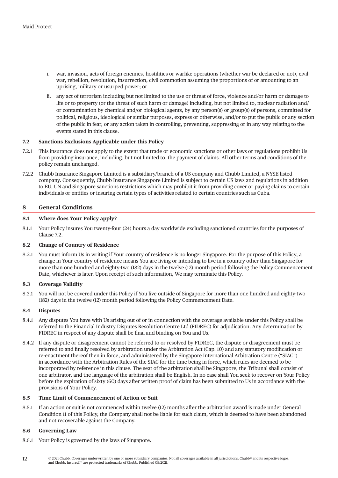- i. war, invasion, acts of foreign enemies, hostilities or warlike operations (whether war be declared or not), civil war, rebellion, revolution, insurrection, civil commotion assuming the proportions of or amounting to an uprising, military or usurped power; or
- ii. any act of terrorism including but not limited to the use or threat of force, violence and/or harm or damage to life or to property (or the threat of such harm or damage) including, but not limited to, nuclear radiation and/ or contamination by chemical and/or biological agents, by any person(s) or group(s) of persons, committed for political, religious, ideological or similar purposes, express or otherwise, and/or to put the public or any section of the public in fear, or any action taken in controlling, preventing, suppressing or in any way relating to the events stated in this clause.

## **7.2 Sanctions Exclusions Applicable under this Policy**

- 7.2.1 This insurance does not apply to the extent that trade or economic sanctions or other laws or regulations prohibit Us from providing insurance, including, but not limited to, the payment of claims. All other terms and conditions of the policy remain unchanged.
- 7.2.2 Chubb Insurance Singapore Limited is a subsidiary/branch of a US company and Chubb Limited, a NYSE listed company. Consequently, Chubb Insurance Singapore Limited is subject to certain US laws and regulations in addition to EU, UN and Singapore sanctions restrictions which may prohibit it from providing cover or paying claims to certain individuals or entities or insuring certain types of activities related to certain countries such as Cuba.

## **8 General Conditions**

#### **8.1 Where does Your Policy apply?**

8.1.1 Your Policy insures You twenty-four (24) hours a day worldwide excluding sanctioned countries for the purposes of Clause 7.2.

#### **8.2 Change of Country of Residence**

8.2.1 You must inform Us in writing if Your country of residence is no longer Singapore. For the purpose of this Policy, a change in Your country of residence means You are living or intending to live in a country other than Singapore for more than one hundred and eighty-two (182) days in the twelve (12) month period following the Policy Commencement Date, whichever is later. Upon receipt of such information, We may terminate this Policy.

#### **8.3 Coverage Validity**

8.3.1 You will not be covered under this Policy if You live outside of Singapore for more than one hundred and eighty-two (182) days in the twelve (12) month period following the Policy Commencement Date.

#### **8.4 Disputes**

- 8.4.1 Any disputes You have with Us arising out of or in connection with the coverage available under this Policy shall be referred to the Financial Industry Disputes Resolution Centre Ltd (FIDREC) for adjudication. Any determination by FIDREC in respect of any dispute shall be final and binding on You and Us.
- 8.4.2 If any dispute or disagreement cannot be referred to or resolved by FIDREC, the dispute or disagreement must be referred to and finally resolved by arbitration under the Arbitration Act (Cap. 10) and any statutory modification or re-enactment thereof then in force, and administered by the Singapore International Arbitration Centre ("SIAC") in accordance with the Arbitration Rules of the SIAC for the time being in force, which rules are deemed to be incorporated by reference in this clause. The seat of the arbitration shall be Singapore, the Tribunal shall consist of one arbitrator, and the language of the arbitration shall be English. In no case shall You seek to recover on Your Policy before the expiration of sixty (60) days after written proof of claim has been submitted to Us in accordance with the provisions of Your Policy.

#### **8.5 Time Limit of Commencement of Action or Suit**

8.5.1 If an action or suit is not commenced within twelve (12) months after the arbitration award is made under General Condition 11 of this Policy, the Company shall not be liable for such claim, which is deemed to have been abandoned and not recoverable against the Company.

#### **8.6 Governing Law**

- 8.6.1 Your Policy is governed by the laws of Singapore.
- 12 © 2021 Chubb. Coverages underwritten by one or more subsidiary companies. Not all coverages available in all jurisdictions. Chubb® and its respective logos, and Chubb. Insured.TM are protected trademarks of Chubb. Published 09/2021.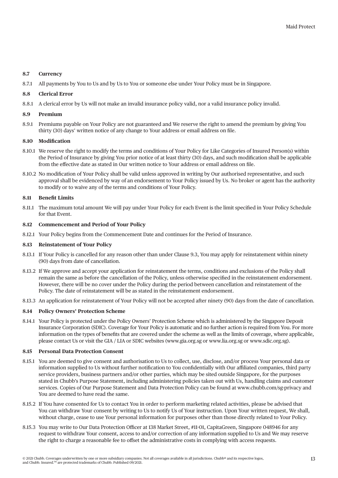## **8.7 Currency**

8.7.1 All payments by You to Us and by Us to You or someone else under Your Policy must be in Singapore.

#### **8.8 Clerical Error**

8.8.1 A clerical error by Us will not make an invalid insurance policy valid, nor a valid insurance policy invalid.

## **8.9 Premium**

8.9.1 Premiums payable on Your Policy are not guaranteed and We reserve the right to amend the premium by giving You thirty (30) days' written notice of any change to Your address or email address on file.

#### **8.10 Modification**

- 8.10.1 We reserve the right to modify the terms and conditions of Your Policy for Like Categories of Insured Person(s) within the Period of Insurance by giving You prior notice of at least thirty (30) days, and such modification shall be applicable from the effective date as stated in Our written notice to Your address or email address on file.
- 8.10.2 No modification of Your Policy shall be valid unless approved in writing by Our authorised representative, and such approval shall be evidenced by way of an endorsement to Your Policy issued by Us. No broker or agent has the authority to modify or to waive any of the terms and conditions of Your Policy.

## **8.11 Benefit Limits**

8.11.1 The maximum total amount We will pay under Your Policy for each Event is the limit specified in Your Policy Schedule for that Event.

#### **8.12 Commencement and Period of Your Policy**

8.12.1 Your Policy begins from the Commencement Date and continues for the Period of Insurance.

#### **8.13 Reinstatement of Your Policy**

- 8.13.1 If Your Policy is cancelled for any reason other than under Clause 9.3, You may apply for reinstatement within ninety (90) days from date of cancellation.
- 8.13.2 If We approve and accept your application for reinstatement the terms, conditions and exclusions of the Policy shall remain the same as before the cancellation of the Policy, unless otherwise specified in the reinstatement endorsement. However, there will be no cover under the Policy during the period between cancellation and reinstatement of the Policy. The date of reinstatement will be as stated in the reinstatement endorsement.
- 8.13.3 An application for reinstatement of Your Policy will not be accepted after ninety (90) days from the date of cancellation.

## **8.14 Policy Owners' Protection Scheme**

8.14.1 Your Policy is protected under the Policy Owners' Protection Scheme which is administered by the Singapore Deposit Insurance Corporation (SDIC). Coverage for Your Policy is automatic and no further action is required from You. For more information on the types of benefits that are covered under the scheme as well as the limits of coverage, where applicable, please contact Us or visit the GIA / LIA or SDIC websites [\(www.gia.org.sg](http://www.gia.org.sg) or [www.lia.org.sg](http://www.lia.org.sg) or [www.sdic.org.sg\)](http://www.sdic.org.sg).

#### **8.15 Personal Data Protection Consent**

- 8.15.1 You are deemed to give consent and authorisation to Us to collect, use, disclose, and/or process Your personal data or information supplied to Us without further notification to You confidentially with Our affiliated companies, third party service providers, business partners and/or other parties, which may be sited outside Singapore, for the purposes stated in Chubb's Purpose Statement, including administering policies taken out with Us, handling claims and customer services. Copies of Our Purpose Statement and Data Protection Policy can be found at [www.chubb.com/sg-privacy](http://www.chubb.com/sg-privacy) and You are deemed to have read the same.
- 8.15.2 If You have consented for Us to contact You in order to perform marketing related activities, please be advised that You can withdraw Your consent by writing to Us to notify Us of Your instruction. Upon Your written request, We shall, without charge, cease to use Your personal information for purposes other than those directly related to Your Policy.
- 8.15.3 You may write to Our Data Protection Officer at 138 Market Street, #11-01, CapitaGreen, Singapore 048946 for any request to withdraw Your consent, access to and/or correction of any information supplied to Us and We may reserve the right to charge a reasonable fee to offset the administrative costs in complying with access requests.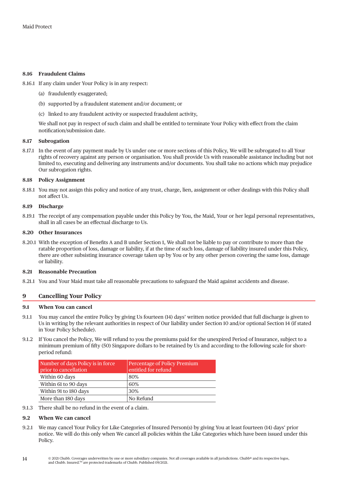## **8.16 Fraudulent Claims**

- 8.16.1 If any claim under Your Policy is in any respect:
	- (a) fraudulently exaggerated;
	- (b) supported by a fraudulent statement and/or document; or
	- (c) linked to any fraudulent activity or suspected fraudulent activity,

We shall not pay in respect of such claim and shall be entitled to terminate Your Policy with effect from the claim notification/submission date.

#### **8.17 Subrogation**

8.17.1 In the event of any payment made by Us under one or more sections of this Policy, We will be subrogated to all Your rights of recovery against any person or organisation. You shall provide Us with reasonable assistance including but not limited to, executing and delivering any instruments and/or documents. You shall take no actions which may prejudice Our subrogation rights.

## **8.18 Policy Assignment**

8.18.1 You may not assign this policy and notice of any trust, charge, lien, assignment or other dealings with this Policy shall not affect Us.

#### **8.19 Discharge**

8.19.1 The receipt of any compensation payable under this Policy by You, the Maid, Your or her legal personal representatives, shall in all cases be an effectual discharge to Us.

## **8.20 Other Insurances**

8.20.1 With the exception of Benefits A and B under Section 1, We shall not be liable to pay or contribute to more than the ratable proportion of loss, damage or liability, if at the time of such loss, damage of liability insured under this Policy, there are other subsisting insurance coverage taken up by You or by any other person covering the same loss, damage or liability.

## **8.21 Reasonable Precaution**

8.21.1 You and Your Maid must take all reasonable precautions to safeguard the Maid against accidents and disease.

## **9 Cancelling Your Policy**

#### **9.1 When You can cancel**

- 9.1.1 You may cancel the entire Policy by giving Us fourteen (14) days' written notice provided that full discharge is given to Us in writing by the relevant authorities in respect of Our liability under Section 10 and/or optional Section 14 (if stated in Your Policy Schedule).
- 9.1.2 If You cancel the Policy, We will refund to you the premiums paid for the unexpired Period of Insurance, subject to a minimum premium of fifty (50) Singapore dollars to be retained by Us and according to the following scale for shortperiod refund:

| Number of days Policy is in force<br>prior to cancellation | Percentage of Policy Premium<br>entitled for refund |
|------------------------------------------------------------|-----------------------------------------------------|
| Within 60 days                                             | 80%                                                 |
| Within 61 to 90 days                                       | 60%                                                 |
| Within 91 to 180 days                                      | 30%                                                 |
| More than 180 days                                         | No Refund                                           |

9.1.3 There shall be no refund in the event of a claim.

## **9.2 When We can cancel**

14

9.2.1 We may cancel Your Policy for Like Categories of Insured Person(s) by giving You at least fourteen (14) days' prior notice. We will do this only when We cancel all policies within the Like Categories which have been issued under this Policy.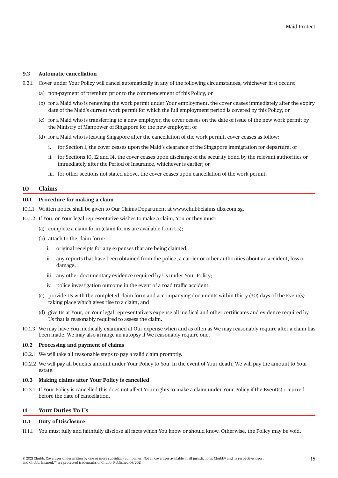## **9.3 Automatic cancellation**

- 9.3.1 Cover under Your Policy will cancel automatically in any of the following circumstances, whichever first occurs:
	- (a) non-payment of premium prior to the commencement of this Policy; or
	- (b) for a Maid who is renewing the work permit under Your employment, the cover ceases immediately after the expiry date of the Maid's current work permit for which the full employment period is covered by this Policy; or
	- (c) for a Maid who is transferring to a new employer, the cover ceases on the date of issue of the new work permit by the Ministry of Manpower of Singapore for the new employer; or
	- (d) for a Maid who is leaving Singapore after the cancellation of the work permit, cover ceases as follow:
		- i. for Section 1, the cover ceases upon the Maid's clearance of the Singapore immigration for departure; or
		- ii. for Sections 10, 12 and 14, the cover ceases upon discharge of the security bond by the relevant authorities or immediately after the Period of Insurance, whichever is earlier; or
		- iii. for other sections not stated above, the cover ceases upon cancellation of the work permit.

#### **10 Claims**

#### **10.1 Procedure for making a claim**

- 10.1.1 Written notice shall be given to Our Claims Department at [www.chubbclaims-dbs.com.sg.](http://www.chubbclaims-dbs.com.sg)
- 10.1.2 If You, or Your legal representative wishes to make a claim, You or they must:
	- (a) complete a claim form (claim forms are available from Us);
	- (b) attach to the claim form:
		- i. original receipts for any expenses that are being claimed;
		- ii. any reports that have been obtained from the police, a carrier or other authorities about an accident, loss or damage;
		- iii. any other documentary evidence required by Us under Your Policy;
		- iv. police investigation outcome in the event of a road traffic accident.
	- (c) provide Us with the completed claim form and accompanying documents within thirty (30) days of the Event(s) taking place which gives rise to a claim; and
	- (d) give Us at Your, or Your legal representative's expense all medical and other certificates and evidence required by Us that is reasonably required to assess the claim.
- 10.1.3 We may have You medically examined at Our expense when and as often as We may reasonably require after a claim has been made. We may also arrange an autopsy if We reasonably require one.

#### **10.2 Processing and payment of claims**

- 10.2.1 We will take all reasonable steps to pay a valid claim promptly.
- 10.2.2 We will pay all benefits amount under Your Policy to You. In the event of Your death, We will pay the amount to Your estate.

#### **10.3 Making claims after Your Policy is cancelled**

10.3.1 If Your Policy is cancelled this does not affect Your rights to make a claim under Your Policy if the Event(s) occurred before the date of cancellation.

## **11 Your Duties To Us**

#### **11.1 Duty of Disclosure**

11.1.1 You must fully and faithfully disclose all facts which You know or should know. Otherwise, the Policy may be void.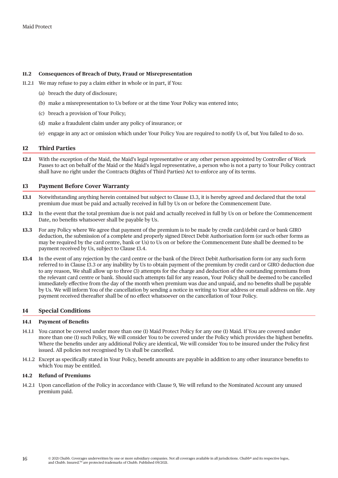## **11.2 Consequences of Breach of Duty, Fraud or Misrepresentation**

- 11.2.1 We may refuse to pay a claim either in whole or in part, if You:
	- (a) breach the duty of disclosure;
	- (b) make a misrepresentation to Us before or at the time Your Policy was entered into;
	- (c) breach a provision of Your Policy;
	- (d) make a fraudulent claim under any policy of insurance; or
	- (e) engage in any act or omission which under Your Policy You are required to notify Us of, but You failed to do so.

## **12 Third Parties**

**12.1** With the exception of the Maid, the Maid's legal representative or any other person appointed by Controller of Work Passes to act on behalf of the Maid or the Maid's legal representative, a person who is not a party to Your Policy contract shall have no right under the Contracts (Rights of Third Parties) Act to enforce any of its terms.

## **13 Payment Before Cover Warranty**

- **13.1** Notwithstanding anything herein contained but subject to Clause 13.3, it is hereby agreed and declared that the total premium due must be paid and actually received in full by Us on or before the Commencement Date.
- **13.2** In the event that the total premium due is not paid and actually received in full by Us on or before the Commencement Date, no benefits whatsoever shall be payable by Us.
- **13.3** For any Policy where We agree that payment of the premium is to be made by credit card/debit card or bank GIRO deduction, the submission of a complete and properly signed Direct Debit Authorisation form (or such other forms as may be required by the card centre, bank or Us) to Us on or before the Commencement Date shall be deemed to be payment received by Us, subject to Clause 13.4.
- **13.4** In the event of any rejection by the card centre or the bank of the Direct Debit Authorisation form (or any such form referred to in Clause 13.3 or any inability by Us to obtain payment of the premium by credit card or GIRO deduction due to any reason, We shall allow up to three (3) attempts for the charge and deduction of the outstanding premiums from the relevant card centre or bank. Should such attempts fail for any reason, Your Policy shall be deemed to be cancelled immediately effective from the day of the month when premium was due and unpaid, and no benefits shall be payable by Us. We will inform You of the cancellation by sending a notice in writing to Your address or email address on file. Any payment received thereafter shall be of no effect whatsoever on the cancellation of Your Policy.

#### **14 Special Conditions**

#### **14.1 Payment of Benefits**

- 14.1.1 You cannot be covered under more than one (1) Maid Protect Policy for any one (1) Maid. If You are covered under more than one (1) such Policy, We will consider You to be covered under the Policy which provides the highest benefits. Where the benefits under any additional Policy are identical, We will consider You to be insured under the Policy first issued. All policies not recognised by Us shall be cancelled.
- 14.1.2 Except as specifically stated in Your Policy, benefit amounts are payable in addition to any other insurance benefits to which You may be entitled.

#### **14.2 Refund of Premiums**

14.2.1 Upon cancellation of the Policy in accordance with Clause 9, We will refund to the Nominated Account any unused premium paid.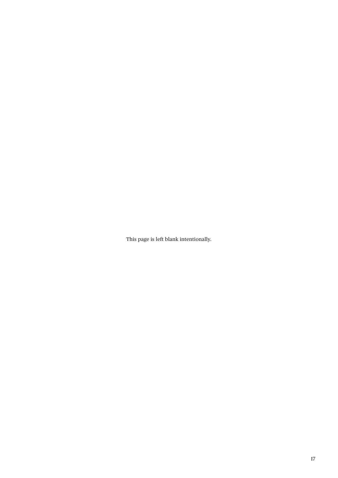This page is left blank intentionally.